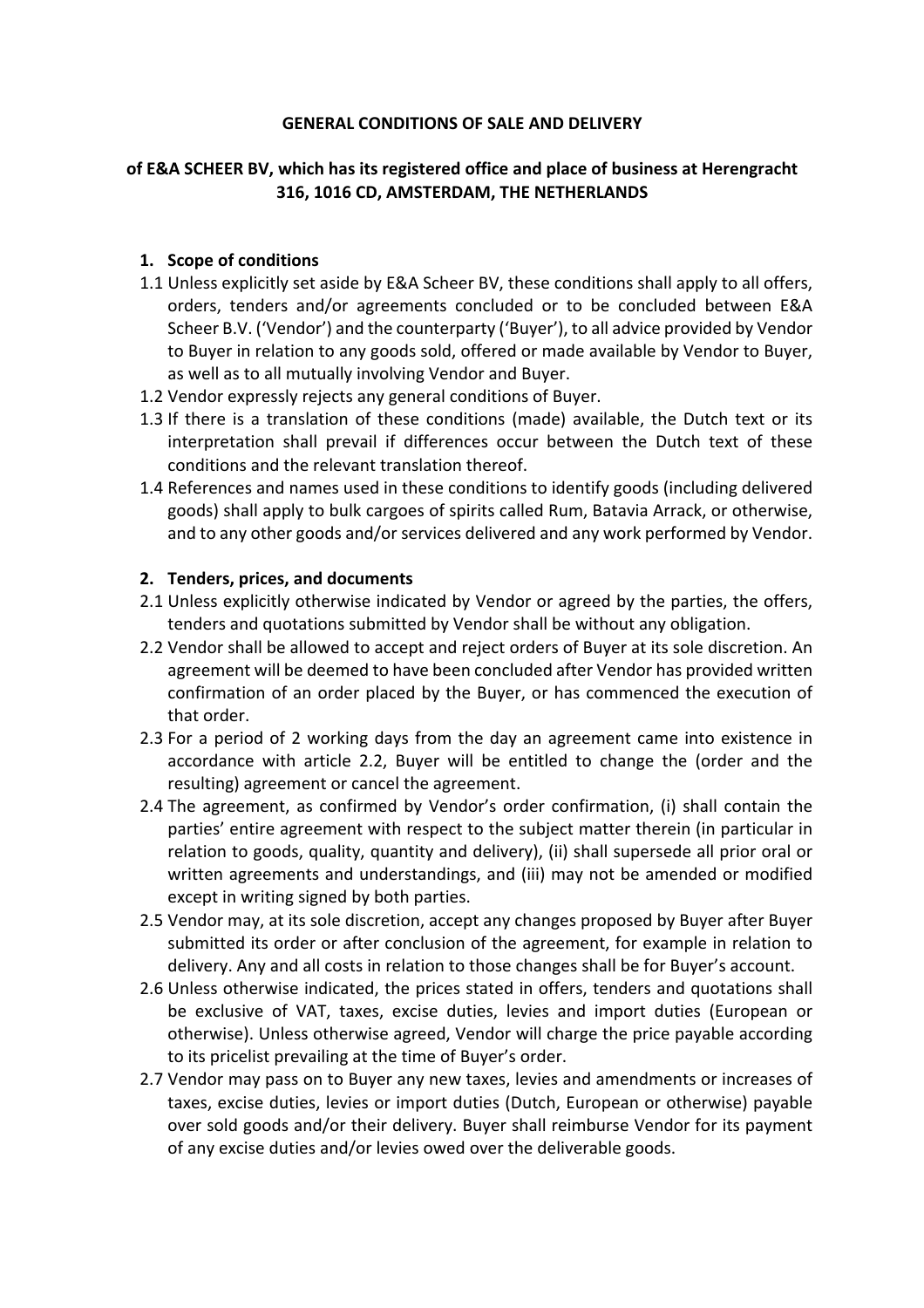## **GENERAL CONDITIONS OF SALE AND DELIVERY**

# **of E&A SCHEER BV, which has its registered office and place of business at Herengracht 316, 1016 CD, AMSTERDAM, THE NETHERLANDS**

## **1. Scope of conditions**

- 1.1 Unless explicitly set aside by E&A Scheer BV, these conditions shall apply to all offers, orders, tenders and/or agreements concluded or to be concluded between E&A Scheer B.V. ('Vendor') and the counterparty ('Buyer'), to all advice provided by Vendor to Buyer in relation to any goods sold, offered or made available by Vendor to Buyer, as well as to all mutually involving Vendor and Buyer.
- 1.2 Vendor expressly rejects any general conditions of Buyer.
- 1.3 If there is a translation of these conditions (made) available, the Dutch text or its interpretation shall prevail if differences occur between the Dutch text of these conditions and the relevant translation thereof.
- 1.4 References and names used in these conditions to identify goods (including delivered goods) shall apply to bulk cargoes of spirits called Rum, Batavia Arrack, or otherwise, and to any other goods and/or services delivered and any work performed by Vendor.

## **2. Tenders, prices, and documents**

- 2.1 Unless explicitly otherwise indicated by Vendor or agreed by the parties, the offers, tenders and quotations submitted by Vendor shall be without any obligation.
- 2.2 Vendor shall be allowed to accept and reject orders of Buyer at its sole discretion. An agreement will be deemed to have been concluded after Vendor has provided written confirmation of an order placed by the Buyer, or has commenced the execution of that order.
- 2.3 For a period of 2 working days from the day an agreement came into existence in accordance with article 2.2, Buyer will be entitled to change the (order and the resulting) agreement or cancel the agreement.
- 2.4 The agreement, as confirmed by Vendor's order confirmation, (i) shall contain the parties' entire agreement with respect to the subject matter therein (in particular in relation to goods, quality, quantity and delivery), (ii) shall supersede all prior oral or written agreements and understandings, and (iii) may not be amended or modified except in writing signed by both parties.
- 2.5 Vendor may, at its sole discretion, accept any changes proposed by Buyer after Buyer submitted its order or after conclusion of the agreement, for example in relation to delivery. Any and all costs in relation to those changes shall be for Buyer's account.
- 2.6 Unless otherwise indicated, the prices stated in offers, tenders and quotations shall be exclusive of VAT, taxes, excise duties, levies and import duties (European or otherwise). Unless otherwise agreed, Vendor will charge the price payable according to its pricelist prevailing at the time of Buyer's order.
- 2.7 Vendor may pass on to Buyer any new taxes, levies and amendments or increases of taxes, excise duties, levies or import duties (Dutch, European or otherwise) payable over sold goods and/or their delivery. Buyer shall reimburse Vendor for its payment of any excise duties and/or levies owed over the deliverable goods.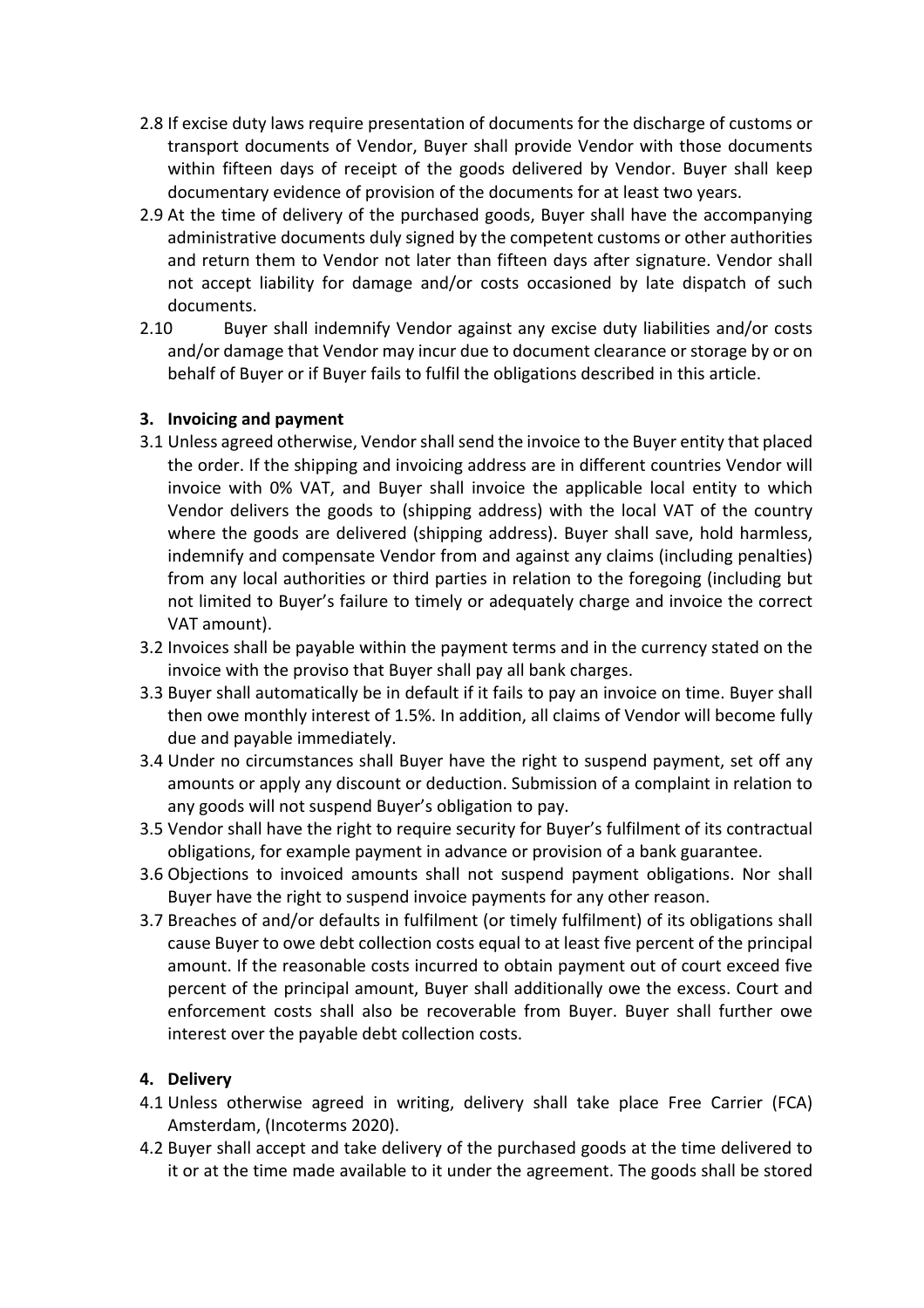- 2.8 If excise duty laws require presentation of documents for the discharge of customs or transport documents of Vendor, Buyer shall provide Vendor with those documents within fifteen days of receipt of the goods delivered by Vendor. Buyer shall keep documentary evidence of provision of the documents for at least two years.
- 2.9 At the time of delivery of the purchased goods, Buyer shall have the accompanying administrative documents duly signed by the competent customs or other authorities and return them to Vendor not later than fifteen days after signature. Vendor shall not accept liability for damage and/or costs occasioned by late dispatch of such documents.
- 2.10 Buyer shall indemnify Vendor against any excise duty liabilities and/or costs and/or damage that Vendor may incur due to document clearance or storage by or on behalf of Buyer or if Buyer fails to fulfil the obligations described in this article.

# **3. Invoicing and payment**

- 3.1 Unless agreed otherwise, Vendor shall send the invoice to the Buyer entity that placed the order. If the shipping and invoicing address are in different countries Vendor will invoice with 0% VAT, and Buyer shall invoice the applicable local entity to which Vendor delivers the goods to (shipping address) with the local VAT of the country where the goods are delivered (shipping address). Buyer shall save, hold harmless, indemnify and compensate Vendor from and against any claims (including penalties) from any local authorities or third parties in relation to the foregoing (including but not limited to Buyer's failure to timely or adequately charge and invoice the correct VAT amount).
- 3.2 Invoices shall be payable within the payment terms and in the currency stated on the invoice with the proviso that Buyer shall pay all bank charges.
- 3.3 Buyer shall automatically be in default if it fails to pay an invoice on time. Buyer shall then owe monthly interest of 1.5%. In addition, all claims of Vendor will become fully due and payable immediately.
- 3.4 Under no circumstances shall Buyer have the right to suspend payment, set off any amounts or apply any discount or deduction. Submission of a complaint in relation to any goods will not suspend Buyer's obligation to pay.
- 3.5 Vendor shall have the right to require security for Buyer's fulfilment of its contractual obligations, for example payment in advance or provision of a bank guarantee.
- 3.6 Objections to invoiced amounts shall not suspend payment obligations. Nor shall Buyer have the right to suspend invoice payments for any other reason.
- 3.7 Breaches of and/or defaults in fulfilment (or timely fulfilment) of its obligations shall cause Buyer to owe debt collection costs equal to at least five percent of the principal amount. If the reasonable costs incurred to obtain payment out of court exceed five percent of the principal amount, Buyer shall additionally owe the excess. Court and enforcement costs shall also be recoverable from Buyer. Buyer shall further owe interest over the payable debt collection costs.

# **4. Delivery**

- 4.1 Unless otherwise agreed in writing, delivery shall take place Free Carrier (FCA) Amsterdam, (Incoterms 2020).
- 4.2 Buyer shall accept and take delivery of the purchased goods at the time delivered to it or at the time made available to it under the agreement. The goods shall be stored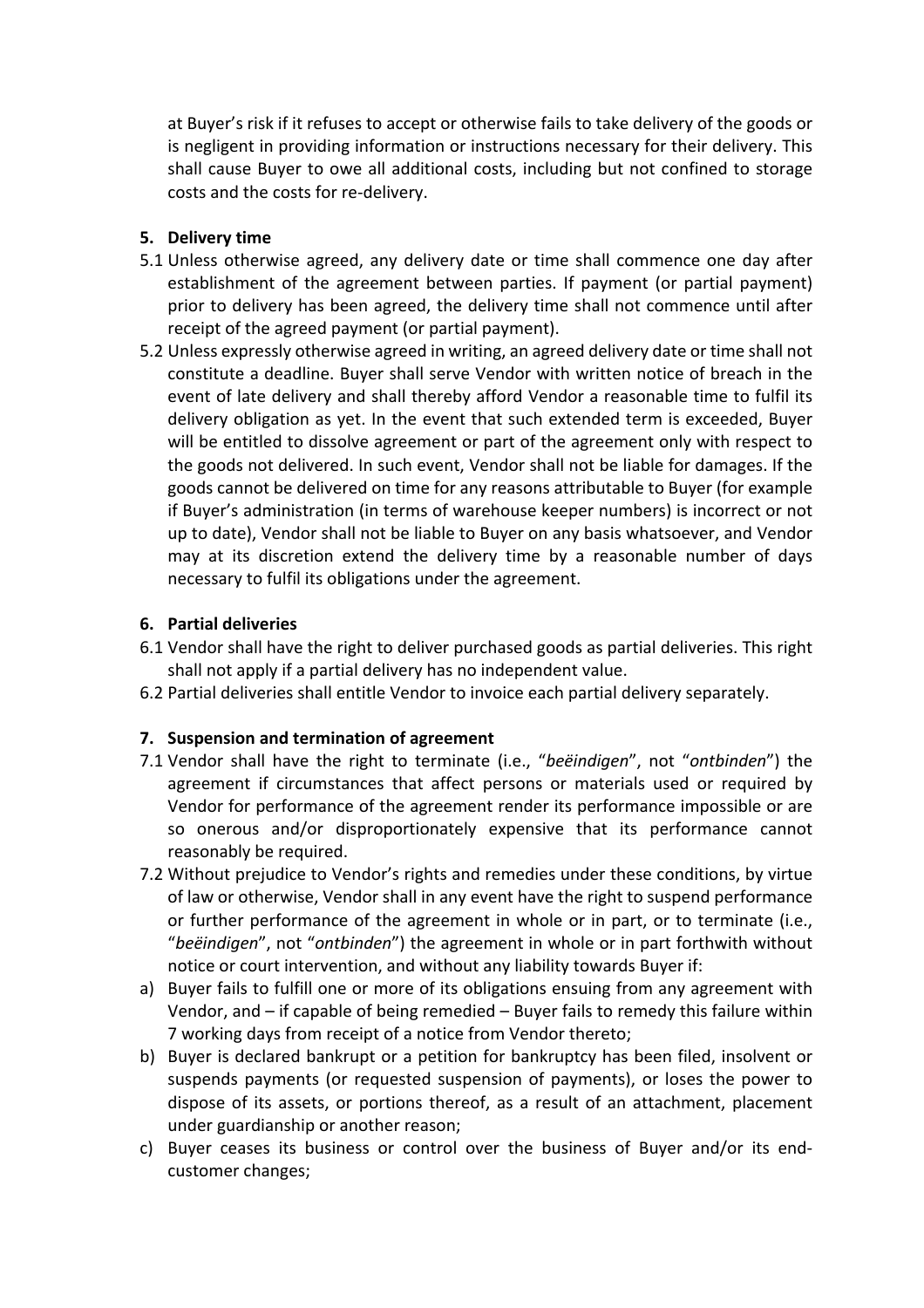at Buyer's risk if it refuses to accept or otherwise fails to take delivery of the goods or is negligent in providing information or instructions necessary for their delivery. This shall cause Buyer to owe all additional costs, including but not confined to storage costs and the costs for re-delivery.

## **5. Delivery time**

- 5.1 Unless otherwise agreed, any delivery date or time shall commence one day after establishment of the agreement between parties. If payment (or partial payment) prior to delivery has been agreed, the delivery time shall not commence until after receipt of the agreed payment (or partial payment).
- 5.2 Unless expressly otherwise agreed in writing, an agreed delivery date or time shall not constitute a deadline. Buyer shall serve Vendor with written notice of breach in the event of late delivery and shall thereby afford Vendor a reasonable time to fulfil its delivery obligation as yet. In the event that such extended term is exceeded, Buyer will be entitled to dissolve agreement or part of the agreement only with respect to the goods not delivered. In such event, Vendor shall not be liable for damages. If the goods cannot be delivered on time for any reasons attributable to Buyer (for example if Buyer's administration (in terms of warehouse keeper numbers) is incorrect or not up to date), Vendor shall not be liable to Buyer on any basis whatsoever, and Vendor may at its discretion extend the delivery time by a reasonable number of days necessary to fulfil its obligations under the agreement.

## **6. Partial deliveries**

- 6.1 Vendor shall have the right to deliver purchased goods as partial deliveries. This right shall not apply if a partial delivery has no independent value.
- 6.2 Partial deliveries shall entitle Vendor to invoice each partial delivery separately.

# **7. Suspension and termination of agreement**

- 7.1 Vendor shall have the right to terminate (i.e., "*beëindigen*", not "*ontbinden*") the agreement if circumstances that affect persons or materials used or required by Vendor for performance of the agreement render its performance impossible or are so onerous and/or disproportionately expensive that its performance cannot reasonably be required.
- 7.2 Without prejudice to Vendor's rights and remedies under these conditions, by virtue of law or otherwise, Vendor shall in any event have the right to suspend performance or further performance of the agreement in whole or in part, or to terminate (i.e., "*beëindigen*", not "*ontbinden*") the agreement in whole or in part forthwith without notice or court intervention, and without any liability towards Buyer if:
- a) Buyer fails to fulfill one or more of its obligations ensuing from any agreement with Vendor, and – if capable of being remedied – Buyer fails to remedy this failure within 7 working days from receipt of a notice from Vendor thereto;
- b) Buyer is declared bankrupt or a petition for bankruptcy has been filed, insolvent or suspends payments (or requested suspension of payments), or loses the power to dispose of its assets, or portions thereof, as a result of an attachment, placement under guardianship or another reason;
- c) Buyer ceases its business or control over the business of Buyer and/or its endcustomer changes;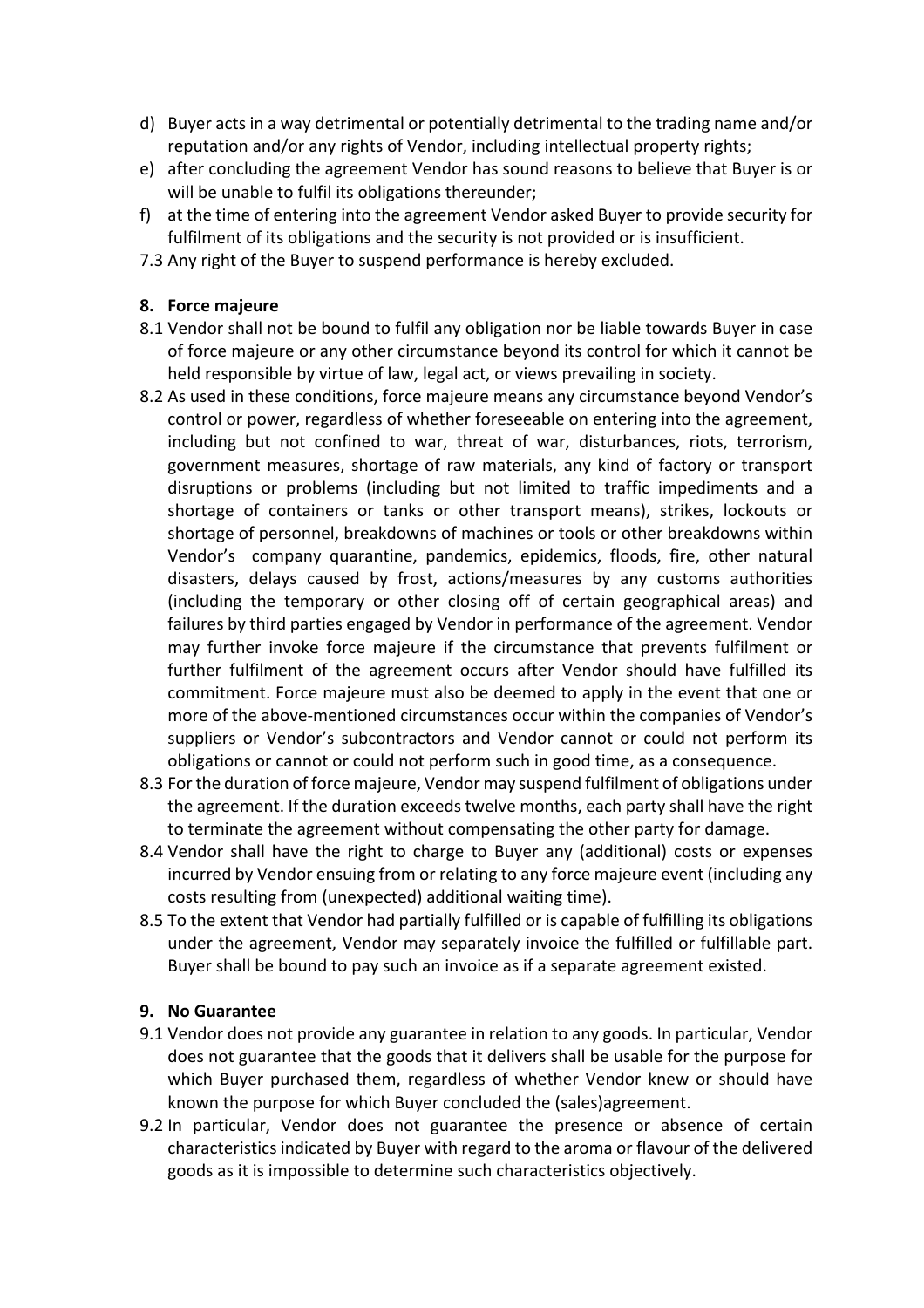- d) Buyer acts in a way detrimental or potentially detrimental to the trading name and/or reputation and/or any rights of Vendor, including intellectual property rights;
- e) after concluding the agreement Vendor has sound reasons to believe that Buyer is or will be unable to fulfil its obligations thereunder;
- f) at the time of entering into the agreement Vendor asked Buyer to provide security for fulfilment of its obligations and the security is not provided or is insufficient.
- 7.3 Any right of the Buyer to suspend performance is hereby excluded.

### **8. Force majeure**

- 8.1 Vendor shall not be bound to fulfil any obligation nor be liable towards Buyer in case of force majeure or any other circumstance beyond its control for which it cannot be held responsible by virtue of law, legal act, or views prevailing in society.
- 8.2 As used in these conditions, force majeure means any circumstance beyond Vendor's control or power, regardless of whether foreseeable on entering into the agreement, including but not confined to war, threat of war, disturbances, riots, terrorism, government measures, shortage of raw materials, any kind of factory or transport disruptions or problems (including but not limited to traffic impediments and a shortage of containers or tanks or other transport means), strikes, lockouts or shortage of personnel, breakdowns of machines or tools or other breakdowns within Vendor's company quarantine, pandemics, epidemics, floods, fire, other natural disasters, delays caused by frost, actions/measures by any customs authorities (including the temporary or other closing off of certain geographical areas) and failures by third parties engaged by Vendor in performance of the agreement. Vendor may further invoke force majeure if the circumstance that prevents fulfilment or further fulfilment of the agreement occurs after Vendor should have fulfilled its commitment. Force majeure must also be deemed to apply in the event that one or more of the above-mentioned circumstances occur within the companies of Vendor's suppliers or Vendor's subcontractors and Vendor cannot or could not perform its obligations or cannot or could not perform such in good time, as a consequence.
- 8.3 For the duration of force majeure, Vendor may suspend fulfilment of obligations under the agreement. If the duration exceeds twelve months, each party shall have the right to terminate the agreement without compensating the other party for damage.
- 8.4 Vendor shall have the right to charge to Buyer any (additional) costs or expenses incurred by Vendor ensuing from or relating to any force majeure event (including any costs resulting from (unexpected) additional waiting time).
- 8.5 To the extent that Vendor had partially fulfilled or is capable of fulfilling its obligations under the agreement, Vendor may separately invoice the fulfilled or fulfillable part. Buyer shall be bound to pay such an invoice as if a separate agreement existed.

# **9. No Guarantee**

- 9.1 Vendor does not provide any guarantee in relation to any goods. In particular, Vendor does not guarantee that the goods that it delivers shall be usable for the purpose for which Buyer purchased them, regardless of whether Vendor knew or should have known the purpose for which Buyer concluded the (sales)agreement.
- 9.2 In particular, Vendor does not guarantee the presence or absence of certain characteristics indicated by Buyer with regard to the aroma or flavour of the delivered goods as it is impossible to determine such characteristics objectively.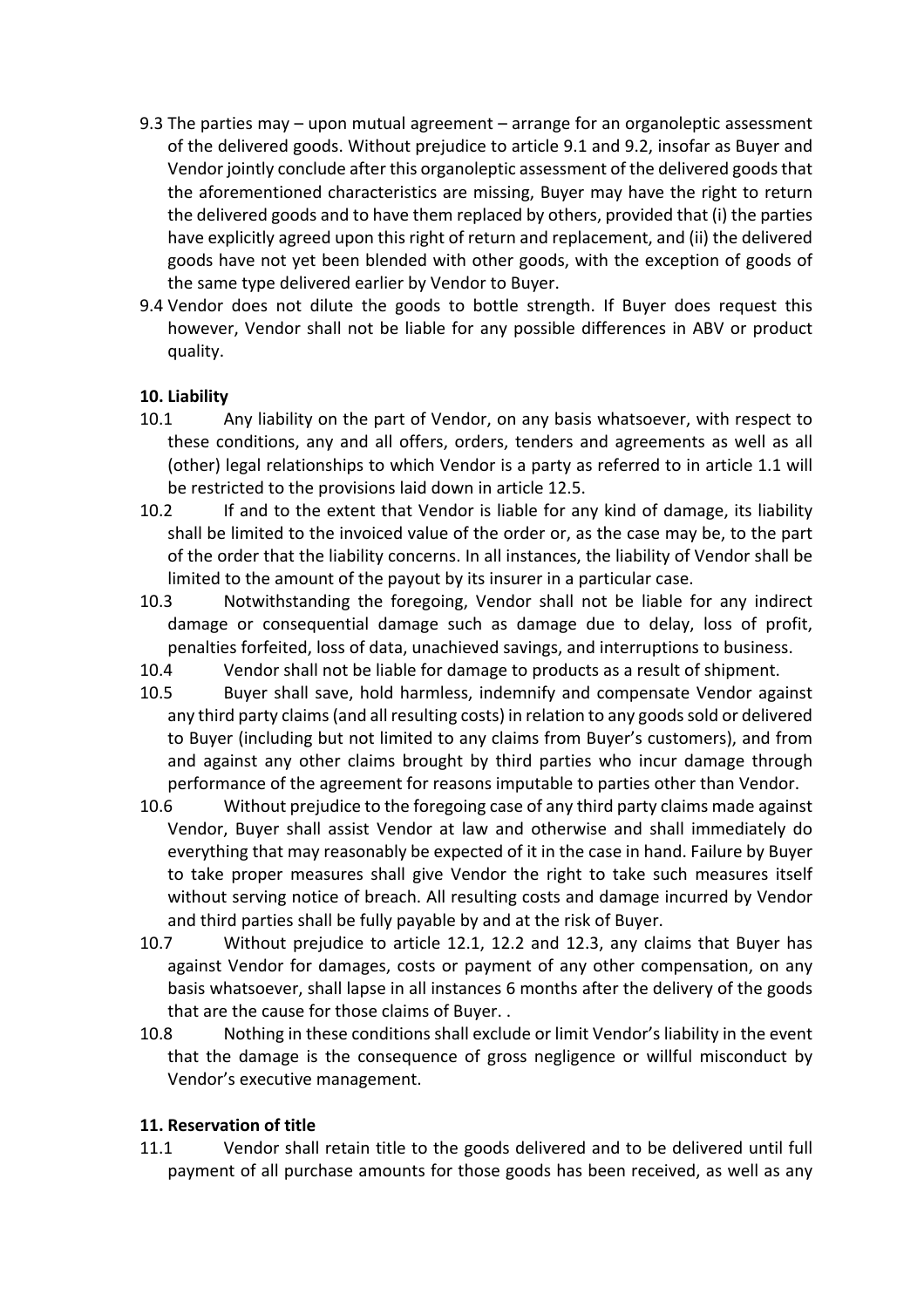- 9.3 The parties may upon mutual agreement arrange for an organoleptic assessment of the delivered goods. Without prejudice to article 9.1 and 9.2, insofar as Buyer and Vendor jointly conclude after this organoleptic assessment of the delivered goods that the aforementioned characteristics are missing, Buyer may have the right to return the delivered goods and to have them replaced by others, provided that (i) the parties have explicitly agreed upon this right of return and replacement, and (ii) the delivered goods have not yet been blended with other goods, with the exception of goods of the same type delivered earlier by Vendor to Buyer.
- 9.4 Vendor does not dilute the goods to bottle strength. If Buyer does request this however, Vendor shall not be liable for any possible differences in ABV or product quality.

# **10. Liability**

- 10.1 Any liability on the part of Vendor, on any basis whatsoever, with respect to these conditions, any and all offers, orders, tenders and agreements as well as all (other) legal relationships to which Vendor is a party as referred to in article 1.1 will be restricted to the provisions laid down in article 12.5.
- 10.2 If and to the extent that Vendor is liable for any kind of damage, its liability shall be limited to the invoiced value of the order or, as the case may be, to the part of the order that the liability concerns. In all instances, the liability of Vendor shall be limited to the amount of the payout by its insurer in a particular case.
- 10.3 Notwithstanding the foregoing, Vendor shall not be liable for any indirect damage or consequential damage such as damage due to delay, loss of profit, penalties forfeited, loss of data, unachieved savings, and interruptions to business.
- 10.4 Vendor shall not be liable for damage to products as a result of shipment.
- 10.5 Buyer shall save, hold harmless, indemnify and compensate Vendor against any third party claims(and all resulting costs) in relation to any goods sold or delivered to Buyer (including but not limited to any claims from Buyer's customers), and from and against any other claims brought by third parties who incur damage through performance of the agreement for reasons imputable to parties other than Vendor.
- 10.6 Without prejudice to the foregoing case of any third party claims made against Vendor, Buyer shall assist Vendor at law and otherwise and shall immediately do everything that may reasonably be expected of it in the case in hand. Failure by Buyer to take proper measures shall give Vendor the right to take such measures itself without serving notice of breach. All resulting costs and damage incurred by Vendor and third parties shall be fully payable by and at the risk of Buyer.
- 10.7 Without prejudice to article 12.1, 12.2 and 12.3, any claims that Buyer has against Vendor for damages, costs or payment of any other compensation, on any basis whatsoever, shall lapse in all instances 6 months after the delivery of the goods that are the cause for those claims of Buyer. .
- 10.8 Nothing in these conditions shall exclude or limit Vendor's liability in the event that the damage is the consequence of gross negligence or willful misconduct by Vendor's executive management.

# **11. Reservation of title**

11.1 Vendor shall retain title to the goods delivered and to be delivered until full payment of all purchase amounts for those goods has been received, as well as any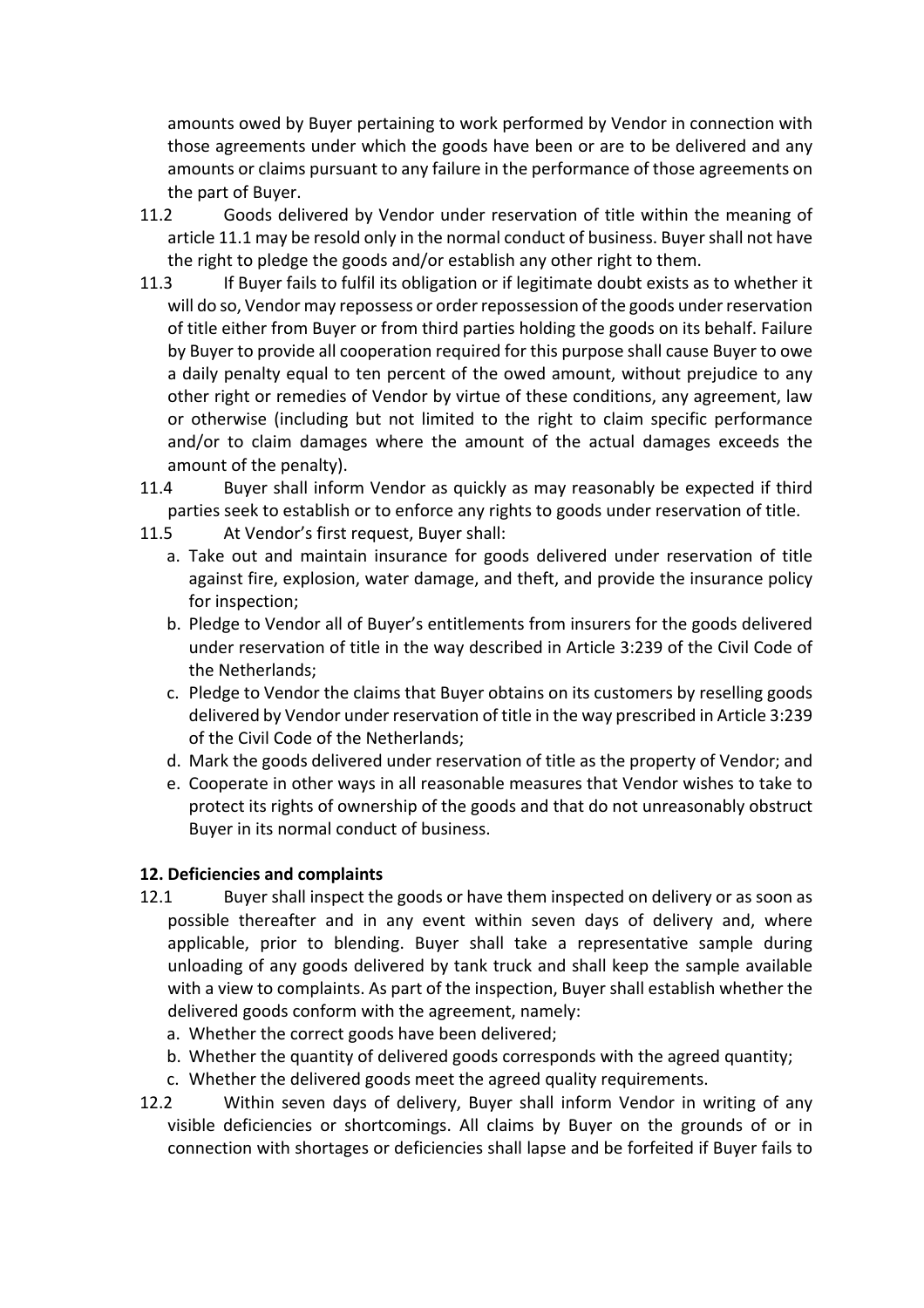amounts owed by Buyer pertaining to work performed by Vendor in connection with those agreements under which the goods have been or are to be delivered and any amounts or claims pursuant to any failure in the performance of those agreements on the part of Buyer.

- 11.2 Goods delivered by Vendor under reservation of title within the meaning of article 11.1 may be resold only in the normal conduct of business. Buyer shall not have the right to pledge the goods and/or establish any other right to them.
- 11.3 If Buyer fails to fulfil its obligation or if legitimate doubt exists as to whether it will do so, Vendor may repossess or order repossession of the goods under reservation of title either from Buyer or from third parties holding the goods on its behalf. Failure by Buyer to provide all cooperation required for this purpose shall cause Buyer to owe a daily penalty equal to ten percent of the owed amount, without prejudice to any other right or remedies of Vendor by virtue of these conditions, any agreement, law or otherwise (including but not limited to the right to claim specific performance and/or to claim damages where the amount of the actual damages exceeds the amount of the penalty).
- 11.4 Buyer shall inform Vendor as quickly as may reasonably be expected if third parties seek to establish or to enforce any rights to goods under reservation of title.
- 11.5 At Vendor's first request, Buyer shall:
	- a. Take out and maintain insurance for goods delivered under reservation of title against fire, explosion, water damage, and theft, and provide the insurance policy for inspection;
	- b. Pledge to Vendor all of Buyer's entitlements from insurers for the goods delivered under reservation of title in the way described in Article 3:239 of the Civil Code of the Netherlands;
	- c. Pledge to Vendor the claims that Buyer obtains on its customers by reselling goods delivered by Vendor under reservation of title in the way prescribed in Article 3:239 of the Civil Code of the Netherlands;
	- d. Mark the goods delivered under reservation of title as the property of Vendor; and
	- e. Cooperate in other ways in all reasonable measures that Vendor wishes to take to protect its rights of ownership of the goods and that do not unreasonably obstruct Buyer in its normal conduct of business.

# **12. Deficiencies and complaints**

- 12.1 Buyer shall inspect the goods or have them inspected on delivery or as soon as possible thereafter and in any event within seven days of delivery and, where applicable, prior to blending. Buyer shall take a representative sample during unloading of any goods delivered by tank truck and shall keep the sample available with a view to complaints. As part of the inspection, Buyer shall establish whether the delivered goods conform with the agreement, namely:
	- a. Whether the correct goods have been delivered;
	- b. Whether the quantity of delivered goods corresponds with the agreed quantity;
	- c. Whether the delivered goods meet the agreed quality requirements.
- 12.2 Within seven days of delivery, Buyer shall inform Vendor in writing of any visible deficiencies or shortcomings. All claims by Buyer on the grounds of or in connection with shortages or deficiencies shall lapse and be forfeited if Buyer fails to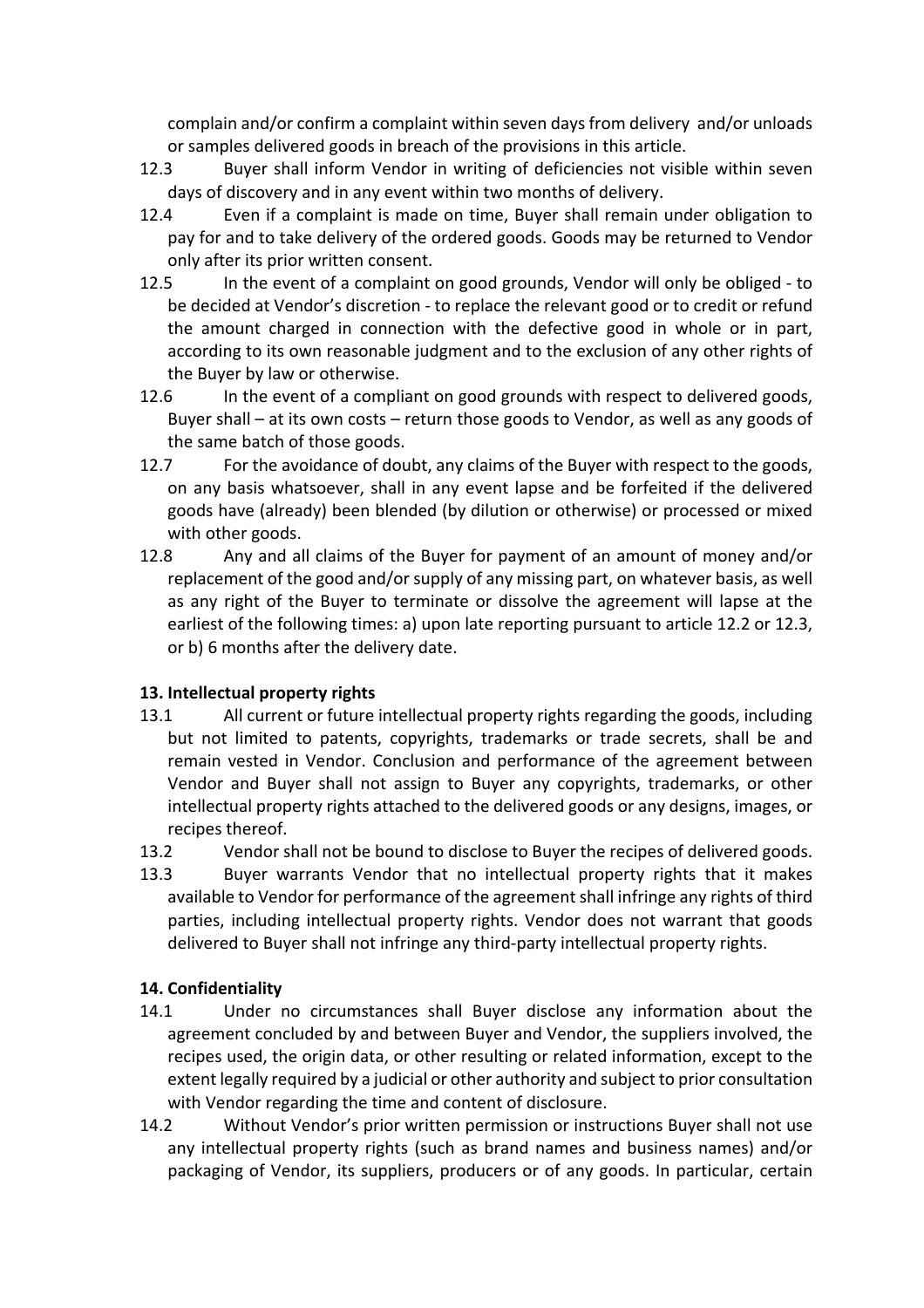complain and/or confirm a complaint within seven days from delivery and/or unloads or samples delivered goods in breach of the provisions in this article.

- 12.3 Buyer shall inform Vendor in writing of deficiencies not visible within seven days of discovery and in any event within two months of delivery.
- 12.4 Even if a complaint is made on time, Buyer shall remain under obligation to pay for and to take delivery of the ordered goods. Goods may be returned to Vendor only after its prior written consent.
- 12.5 In the event of a complaint on good grounds, Vendor will only be obliged to be decided at Vendor's discretion - to replace the relevant good or to credit or refund the amount charged in connection with the defective good in whole or in part, according to its own reasonable judgment and to the exclusion of any other rights of the Buyer by law or otherwise.
- 12.6 In the event of a compliant on good grounds with respect to delivered goods, Buyer shall – at its own costs – return those goods to Vendor, as well as any goods of the same batch of those goods.
- 12.7 For the avoidance of doubt, any claims of the Buyer with respect to the goods, on any basis whatsoever, shall in any event lapse and be forfeited if the delivered goods have (already) been blended (by dilution or otherwise) or processed or mixed with other goods.
- 12.8 Any and all claims of the Buyer for payment of an amount of money and/or replacement of the good and/or supply of any missing part, on whatever basis, as well as any right of the Buyer to terminate or dissolve the agreement will lapse at the earliest of the following times: a) upon late reporting pursuant to article 12.2 or 12.3, or b) 6 months after the delivery date.

# **13. Intellectual property rights**

- 13.1 All current or future intellectual property rights regarding the goods, including but not limited to patents, copyrights, trademarks or trade secrets, shall be and remain vested in Vendor. Conclusion and performance of the agreement between Vendor and Buyer shall not assign to Buyer any copyrights, trademarks, or other intellectual property rights attached to the delivered goods or any designs, images, or recipes thereof.
- 13.2 Vendor shall not be bound to disclose to Buyer the recipes of delivered goods.
- 13.3 Buyer warrants Vendor that no intellectual property rights that it makes available to Vendor for performance of the agreement shall infringe any rights of third parties, including intellectual property rights. Vendor does not warrant that goods delivered to Buyer shall not infringe any third-party intellectual property rights.

# **14. Confidentiality**

- 14.1 Under no circumstances shall Buyer disclose any information about the agreement concluded by and between Buyer and Vendor, the suppliers involved, the recipes used, the origin data, or other resulting or related information, except to the extent legally required by a judicial or other authority and subject to prior consultation with Vendor regarding the time and content of disclosure.
- 14.2 Without Vendor's prior written permission or instructions Buyer shall not use any intellectual property rights (such as brand names and business names) and/or packaging of Vendor, its suppliers, producers or of any goods. In particular, certain